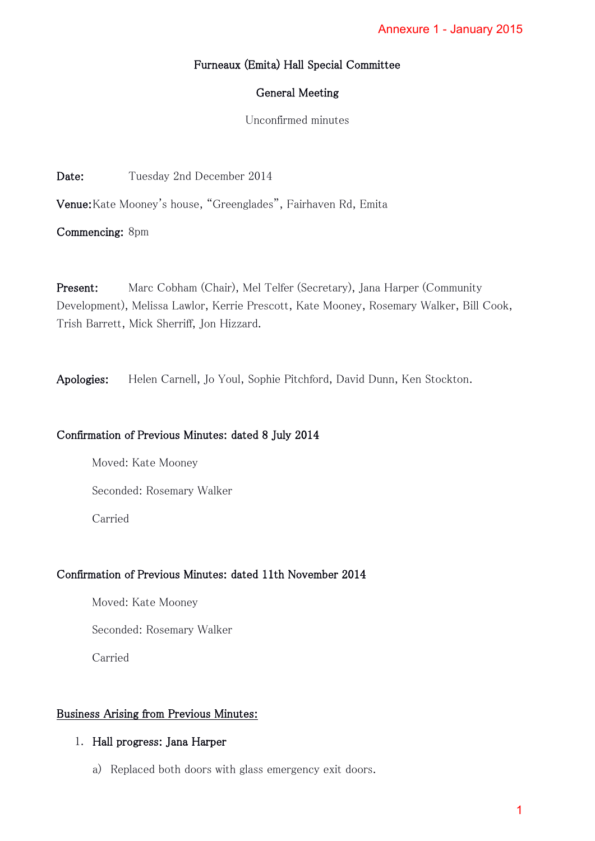# Furneaux (Emita) Hall Special Committee

### General Meeting

Unconfirmed minutes

Date: Tuesday 2nd December 2014

Venue: Kate Mooney's house, "Greenglades", Fairhaven Rd, Emita

Commencing: 8pm

Present: Marc Cobham (Chair), Mel Telfer (Secretary), Jana Harper (Community Development), Melissa Lawlor, Kerrie Prescott, Kate Mooney, Rosemary Walker, Bill Cook, Trish Barrett, Mick Sherriff, Jon Hizzard. Annexure 1 - January 2015<br>ittee<br>ta<br>a<br>Annexure (Community Dosemary Walker, Bill Cook,<br>unn, Ken Stockton.

Apologies: Helen Carnell, Jo Youl, Sophie Pitchford, David Dunn, Ken Stockton.

# Confirmation of Previous Minutes: dated 8 July 2014

Moved: Kate Mooney

Seconded: Rosemary Walker

Carried

# Confirmation of Previous Minutes: dated 11th November 2014

Moved: Kate Mooney

Seconded: Rosemary Walker

Carried

# Business Arising from Previous Minutes:

### 1. Hall progress: Jana Harper

a) Replaced both doors with glass emergency exit doors.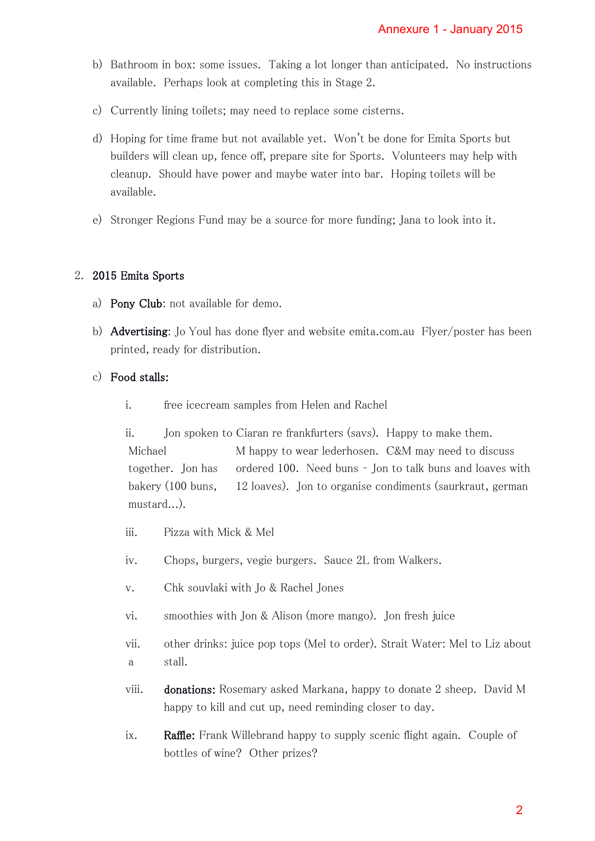- b) Bathroom in box: some issues. Taking a lot longer than anticipated. No instructions available. Perhaps look at completing this in Stage 2.
- c) Currently lining toilets; may need to replace some cisterns.
- d) Hoping for time frame but not available yet. Won't be done for Emita Sports but builders will clean up, fence off, prepare site for Sports. Volunteers may help with cleanup. Should have power and maybe water into bar. Hoping toilets will be available.
- e) Stronger Regions Fund may be a source for more funding; Jana to look into it.

### 2. 2015 Emita Sports

- a) Pony Club: not available for demo.
- b) Advertising: Jo Youl has done flyer and website emita.com.au Flyer/poster has been printed, ready for distribution.

# c) Food stalls:

i. free icecream samples from Helen and Rachel

ii. Jon spoken to Ciaran re frankfurters (savs). Happy to make them. Michael M happy to wear lederhosen. C&M may need to discuss together. Jon has ordered 100. Need buns – Jon to talk buns and loaves with bakery (100 buns, 12 loaves). Jon to organise condiments (saurkraut, german mustard...). Annexure 1 - January 2015<br>
an anticipated. No instruction<br>
serns.<br>
edone for Emita Sports but<br>
.. Hoping toilets will be<br>
ing; Jana to look into it.<br>
.. Hoping toilets will be<br>
ing; Jana to look into it.<br>
com.au Flyer/post

- iii. Pizza with Mick & Mel
- iv. Chops, burgers, vegie burgers. Sauce 2L from Walkers.
- v. Chk souvlaki with Jo & Rachel Jones
- vi. smoothies with Jon & Alison (more mango). Jon fresh juice
- vii. other drinks: juice pop tops (Mel to order). Strait Water: Mel to Liz about a stall.
- viii. donations: Rosemary asked Markana, happy to donate 2 sheep. David M happy to kill and cut up, need reminding closer to day.
- ix. Raffle: Frank Willebrand happy to supply scenic flight again. Couple of bottles of wine? Other prizes?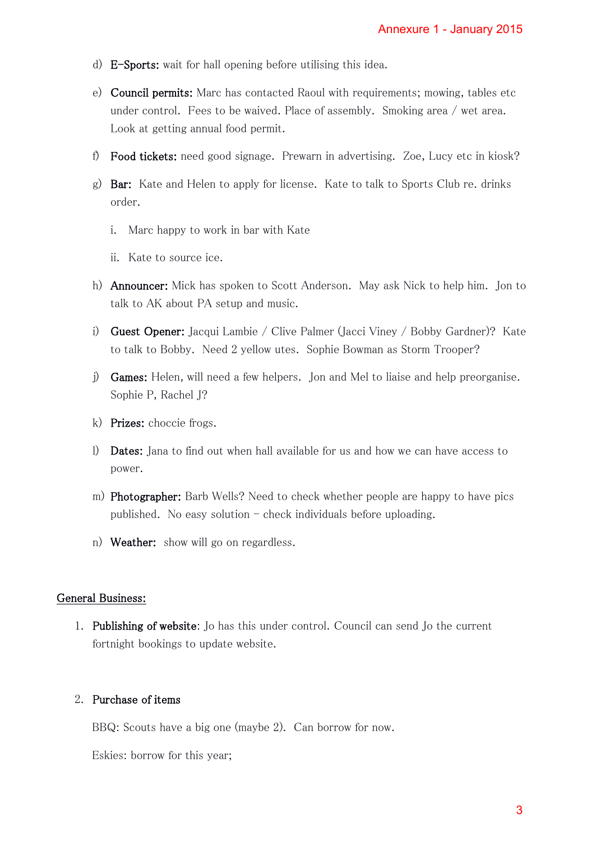- d) E-Sports: wait for hall opening before utilising this idea.
- e) Council permits: Marc has contacted Raoul with requirements; mowing, tables etc under control. Fees to be waived. Place of assembly. Smoking area / wet area. Look at getting annual food permit. Annexure 1 - January 2015<br>
a.<br>
a.<br>
rements; mowing, tables etc<br>
Smoking area / wet area.<br>
ing. Zoe, Lucy etc in kiosk?<br>
k to Sports Club re. drinks<br>
r ask Nick to help him. Jon to<br>
iney / Bobby Gardner)? Kat<br>
n as Storm Tr
- f) Food tickets: need good signage. Prewarn in advertising. Zoe, Lucy etc in kiosk?
- g) Bar: Kate and Helen to apply for license. Kate to talk to Sports Club re. drinks order.
	- i. Marc happy to work in bar with Kate
	- ii. Kate to source ice.
- h) Announcer: Mick has spoken to Scott Anderson. May ask Nick to help him. Jon to talk to AK about PA setup and music.
- i) Guest Opener: Jacqui Lambie / Clive Palmer (Jacci Viney / Bobby Gardner)? Kate to talk to Bobby. Need 2 yellow utes. Sophie Bowman as Storm Trooper?
- j) Games: Helen, will need a few helpers. Jon and Mel to liaise and help preorganise. Sophie P, Rachel J?
- k) Prizes: choccie frogs.
- l) Dates: Jana to find out when hall available for us and how we can have access to power.
- m) Photographer: Barb Wells? Need to check whether people are happy to have pics published. No easy solution  $-$  check individuals before uploading.
- n) Weather: show will go on regardless.

#### General Business:

1. Publishing of website: Jo has this under control. Council can send Jo the current fortnight bookings to update website.

#### 2. Purchase of items

BBQ: Scouts have a big one (maybe 2). Can borrow for now.

Eskies: borrow for this year;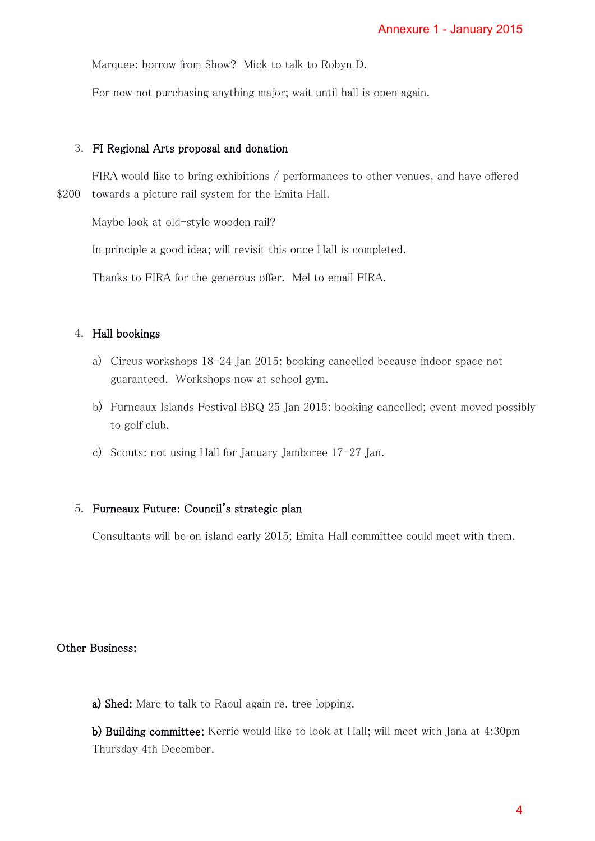Marquee: borrow from Show? Mick to talk to Robyn D.

For now not purchasing anything major; wait until hall is open again.

#### 3. FI Regional Arts proposal and donation

 FIRA would like to bring exhibitions / performances to other venues, and have offered \$200 towards a picture rail system for the Emita Hall.

Maybe look at old-style wooden rail?

In principle a good idea; will revisit this once Hall is completed.

Thanks to FIRA for the generous offer. Mel to email FIRA.

### 4. Hall bookings

- a) Circus workshops 18-24 Jan 2015: booking cancelled because indoor space not guaranteed. Workshops now at school gym.
- b) Furneaux Islands Festival BBQ 25 Jan 2015: booking cancelled; event moved possibly to golf club. Annexure 1 - January 2015<br>ppen again.<br>her venues, and have offered<br>leted.<br>A.<br>because indoor space not<br>cancelled; event moved possi<br>n.<br>i.ttee could meet with them.<br>will meet with Jana at 4:30pm<br>4
- c) Scouts: not using Hall for January Jamboree 17-27 Jan.

### 5. Furneaux Future: Council's strategic plan

Consultants will be on island early 2015; Emita Hall committee could meet with them.

#### Other Business:

a) Shed: Marc to talk to Raoul again re. tree lopping.

b) Building committee: Kerrie would like to look at Hall; will meet with Jana at 4:30pm Thursday 4th December.